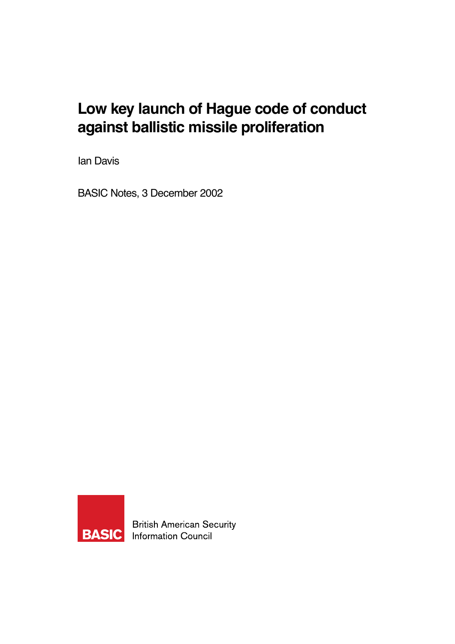# **Low key launch of Hague code of conduct against ballistic missile proliferation**

Ian Davis

BASIC Notes, 3 December 2002



**British American Security Information Council**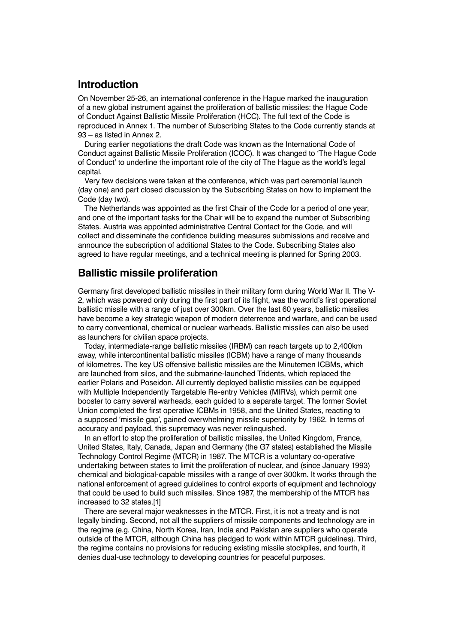### **Introduction**

On November 25-26, an international conference in the Hague marked the inauguration of a new global instrument against the proliferation of ballistic missiles: the Hague Code of Conduct Against Ballistic Missile Proliferation (HCC). The full text of the Code is reproduced in Annex 1. The number of Subscribing States to the Code currently stands at 93 – as listed in Annex 2.

During earlier negotiations the draft Code was known as the International Code of Conduct against Ballistic Missile Proliferation (ICOC). It was changed to 'The Hague Code of Conduct' to underline the important role of the city of The Hague as the world's legal capital.

Very few decisions were taken at the conference, which was part ceremonial launch (day one) and part closed discussion by the Subscribing States on how to implement the Code (day two).

The Netherlands was appointed as the first Chair of the Code for a period of one year, and one of the important tasks for the Chair will be to expand the number of Subscribing States. Austria was appointed administrative Central Contact for the Code, and will collect and disseminate the confidence building measures submissions and receive and announce the subscription of additional States to the Code. Subscribing States also agreed to have regular meetings, and a technical meeting is planned for Spring 2003.

#### **Ballistic missile proliferation**

Germany first developed ballistic missiles in their military form during World War II. The V-2, which was powered only during the first part of its flight, was the world's first operational ballistic missile with a range of just over 300km. Over the last 60 years, ballistic missiles have become a key strategic weapon of modern deterrence and warfare, and can be used to carry conventional, chemical or nuclear warheads. Ballistic missiles can also be used as launchers for civilian space projects.

Today, intermediate-range ballistic missiles (IRBM) can reach targets up to 2,400km away, while intercontinental ballistic missiles (ICBM) have a range of many thousands of kilometres. The key US offensive ballistic missiles are the Minutemen ICBMs, which are launched from silos, and the submarine-launched Tridents, which replaced the earlier Polaris and Poseidon. All currently deployed ballistic missiles can be equipped with Multiple Independently Targetable Re-entry Vehicles (MIRVs), which permit one booster to carry several warheads, each guided to a separate target. The former Soviet Union completed the first operative ICBMs in 1958, and the United States, reacting to a supposed 'missile gap', gained overwhelming missile superiority by 1962. In terms of accuracy and payload, this supremacy was never relinquished.

In an effort to stop the proliferation of ballistic missiles, the United Kingdom, France, United States, Italy, Canada, Japan and Germany (the G7 states) established the Missile Technology Control Regime (MTCR) in 1987. The MTCR is a voluntary co-operative undertaking between states to limit the proliferation of nuclear, and (since January 1993) chemical and biological-capable missiles with a range of over 300km. It works through the national enforcement of agreed guidelines to control exports of equipment and technology that could be used to build such missiles. Since 1987, the membership of the MTCR has increased to 32 states.[1]

There are several major weaknesses in the MTCR. First, it is not a treaty and is not legally binding. Second, not all the suppliers of missile components and technology are in the regime (e.g. China, North Korea, Iran, India and Pakistan are suppliers who operate outside of the MTCR, although China has pledged to work within MTCR guidelines). Third, the regime contains no provisions for reducing existing missile stockpiles, and fourth, it denies dual-use technology to developing countries for peaceful purposes.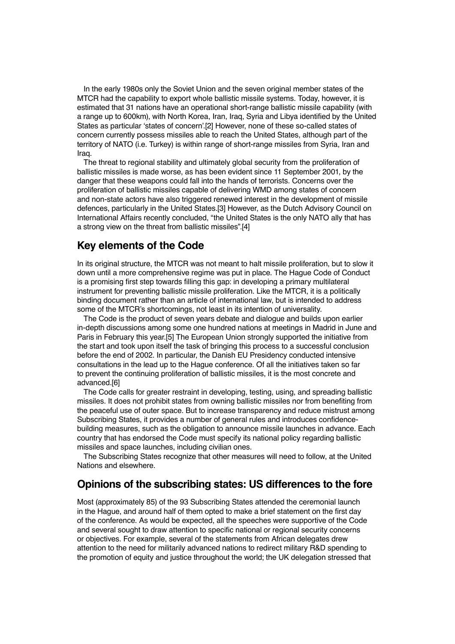In the early 1980s only the Soviet Union and the seven original member states of the MTCR had the capability to export whole ballistic missile systems. Today, however, it is estimated that 31 nations have an operational short-range ballistic missile capability (with a range up to 600km), with North Korea, Iran, Iraq, Syria and Libya identified by the United States as particular 'states of concern'.[2] However, none of these so-called states of concern currently possess missiles able to reach the United States, although part of the territory of NATO (i.e. Turkey) is within range of short-range missiles from Syria, Iran and Iraq.

The threat to regional stability and ultimately global security from the proliferation of ballistic missiles is made worse, as has been evident since 11 September 2001, by the danger that these weapons could fall into the hands of terrorists. Concerns over the proliferation of ballistic missiles capable of delivering WMD among states of concern and non-state actors have also triggered renewed interest in the development of missile defences, particularly in the United States.[3] However, as the Dutch Advisory Council on International Affairs recently concluded, "the United States is the only NATO ally that has a strong view on the threat from ballistic missiles".[4]

#### **Key elements of the Code**

In its original structure, the MTCR was not meant to halt missile proliferation, but to slow it down until a more comprehensive regime was put in place. The Hague Code of Conduct is a promising first step towards filling this gap: in developing a primary multilateral instrument for preventing ballistic missile proliferation. Like the MTCR, it is a politically binding document rather than an article of international law, but is intended to address some of the MTCR's shortcomings, not least in its intention of universality.

The Code is the product of seven years debate and dialogue and builds upon earlier in-depth discussions among some one hundred nations at meetings in Madrid in June and Paris in February this year.[5] The European Union strongly supported the initiative from the start and took upon itself the task of bringing this process to a successful conclusion before the end of 2002. In particular, the Danish EU Presidency conducted intensive consultations in the lead up to the Hague conference. Of all the initiatives taken so far to prevent the continuing proliferation of ballistic missiles, it is the most concrete and advanced.[6]

The Code calls for greater restraint in developing, testing, using, and spreading ballistic missiles. It does not prohibit states from owning ballistic missiles nor from benefiting from the peaceful use of outer space. But to increase transparency and reduce mistrust among Subscribing States, it provides a number of general rules and introduces confidencebuilding measures, such as the obligation to announce missile launches in advance. Each country that has endorsed the Code must specify its national policy regarding ballistic missiles and space launches, including civilian ones.

The Subscribing States recognize that other measures will need to follow, at the United Nations and elsewhere.

#### **Opinions of the subscribing states: US differences to the fore**

Most (approximately 85) of the 93 Subscribing States attended the ceremonial launch in the Hague, and around half of them opted to make a brief statement on the first day of the conference. As would be expected, all the speeches were supportive of the Code and several sought to draw attention to specific national or regional security concerns or objectives. For example, several of the statements from African delegates drew attention to the need for militarily advanced nations to redirect military R&D spending to the promotion of equity and justice throughout the world; the UK delegation stressed that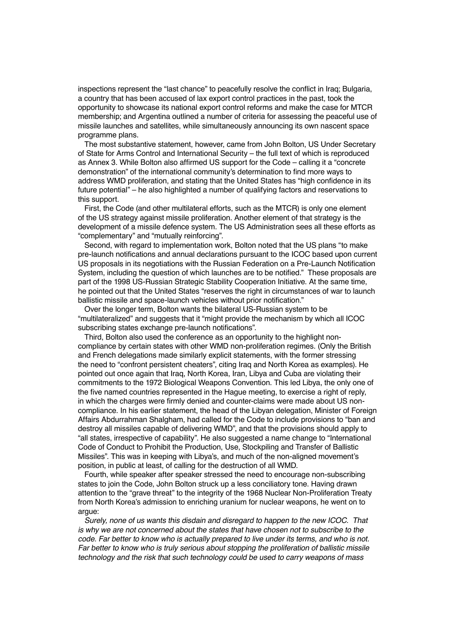inspections represent the "last chance" to peacefully resolve the conflict in Iraq; Bulgaria, a country that has been accused of lax export control practices in the past, took the opportunity to showcase its national export control reforms and make the case for MTCR membership; and Argentina outlined a number of criteria for assessing the peaceful use of missile launches and satellites, while simultaneously announcing its own nascent space programme plans.

The most substantive statement, however, came from John Bolton, US Under Secretary of State for Arms Control and International Security – the full text of which is reproduced as Annex 3. While Bolton also affirmed US support for the Code – calling it a "concrete demonstration" of the international community's determination to find more ways to address WMD proliferation, and stating that the United States has "high confidence in its future potential" – he also highlighted a number of qualifying factors and reservations to this support.

First, the Code (and other multilateral efforts, such as the MTCR) is only one element of the US strategy against missile proliferation. Another element of that strategy is the development of a missile defence system. The US Administration sees all these efforts as "complementary" and "mutually reinforcing".

Second, with regard to implementation work, Bolton noted that the US plans "to make pre-launch notifications and annual declarations pursuant to the ICOC based upon current US proposals in its negotiations with the Russian Federation on a Pre-Launch Notification System, including the question of which launches are to be notified." These proposals are part of the 1998 US-Russian Strategic Stability Cooperation Initiative. At the same time, he pointed out that the United States "reserves the right in circumstances of war to launch ballistic missile and space-launch vehicles without prior notification."

Over the longer term, Bolton wants the bilateral US-Russian system to be "multilateralized" and suggests that it "might provide the mechanism by which all ICOC subscribing states exchange pre-launch notifications".

Third, Bolton also used the conference as an opportunity to the highlight noncompliance by certain states with other WMD non-proliferation regimes. (Only the British and French delegations made similarly explicit statements, with the former stressing the need to "confront persistent cheaters", citing Iraq and North Korea as examples). He pointed out once again that Iraq, North Korea, Iran, Libya and Cuba are violating their commitments to the 1972 Biological Weapons Convention. This led Libya, the only one of the five named countries represented in the Hague meeting, to exercise a right of reply, in which the charges were firmly denied and counter-claims were made about US noncompliance. In his earlier statement, the head of the Libyan delegation, Minister of Foreign Affairs Abdurrahman Shalgham, had called for the Code to include provisions to "ban and destroy all missiles capable of delivering WMD", and that the provisions should apply to "all states, irrespective of capability". He also suggested a name change to "International Code of Conduct to Prohibit the Production, Use, Stockpiling and Transfer of Ballistic Missiles". This was in keeping with Libya's, and much of the non-aligned movement's position, in public at least, of calling for the destruction of all WMD.

Fourth, while speaker after speaker stressed the need to encourage non-subscribing states to join the Code, John Bolton struck up a less conciliatory tone. Having drawn attention to the "grave threat" to the integrity of the 1968 Nuclear Non-Proliferation Treaty from North Korea's admission to enriching uranium for nuclear weapons, he went on to argue:

Surely, none of us wants this disdain and disregard to happen to the new ICOC. That is why we are not concerned about the states that have chosen not to subscribe to the code. Far better to know who is actually prepared to live under its terms, and who is not. Far better to know who is truly serious about stopping the proliferation of ballistic missile technology and the risk that such technology could be used to carry weapons of mass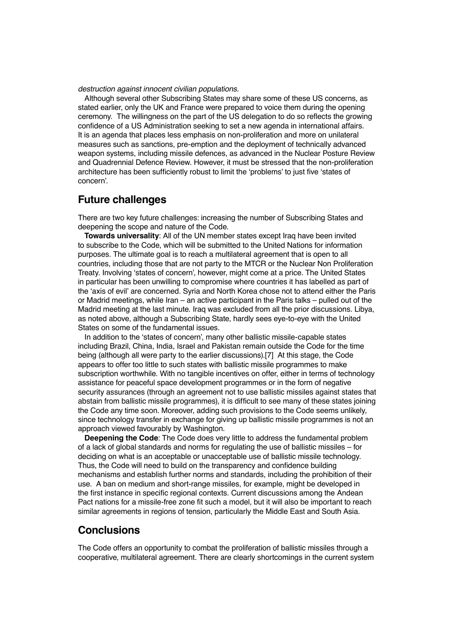destruction against innocent civilian populations.

Although several other Subscribing States may share some of these US concerns, as stated earlier, only the UK and France were prepared to voice them during the opening ceremony. The willingness on the part of the US delegation to do so reflects the growing confidence of a US Administration seeking to set a new agenda in international affairs. It is an agenda that places less emphasis on non-proliferation and more on unilateral measures such as sanctions, pre-emption and the deployment of technically advanced weapon systems, including missile defences, as advanced in the Nuclear Posture Review and Quadrennial Defence Review. However, it must be stressed that the non-proliferation architecture has been sufficiently robust to limit the 'problems' to just five 'states of concern'.

#### **Future challenges**

There are two key future challenges: increasing the number of Subscribing States and deepening the scope and nature of the Code.

**Towards universality**: All of the UN member states except Iraq have been invited to subscribe to the Code, which will be submitted to the United Nations for information purposes. The ultimate goal is to reach a multilateral agreement that is open to all countries, including those that are not party to the MTCR or the Nuclear Non Proliferation Treaty. Involving 'states of concern', however, might come at a price. The United States in particular has been unwilling to compromise where countries it has labelled as part of the 'axis of evil' are concerned. Syria and North Korea chose not to attend either the Paris or Madrid meetings, while Iran – an active participant in the Paris talks – pulled out of the Madrid meeting at the last minute. Iraq was excluded from all the prior discussions. Libya, as noted above, although a Subscribing State, hardly sees eye-to-eye with the United States on some of the fundamental issues.

In addition to the 'states of concern', many other ballistic missile-capable states including Brazil, China, India, Israel and Pakistan remain outside the Code for the time being (although all were party to the earlier discussions).[7] At this stage, the Code appears to offer too little to such states with ballistic missile programmes to make subscription worthwhile. With no tangible incentives on offer, either in terms of technology assistance for peaceful space development programmes or in the form of negative security assurances (through an agreement not to use ballistic missiles against states that abstain from ballistic missile programmes), it is difficult to see many of these states joining the Code any time soon. Moreover, adding such provisions to the Code seems unlikely, since technology transfer in exchange for giving up ballistic missile programmes is not an approach viewed favourably by Washington.

**Deepening the Code**: The Code does very little to address the fundamental problem of a lack of global standards and norms for regulating the use of ballistic missiles – for deciding on what is an acceptable or unacceptable use of ballistic missile technology. Thus, the Code will need to build on the transparency and confidence building mechanisms and establish further norms and standards, including the prohibition of their use. A ban on medium and short-range missiles, for example, might be developed in the first instance in specific regional contexts. Current discussions among the Andean Pact nations for a missile-free zone fit such a model, but it will also be important to reach similar agreements in regions of tension, particularly the Middle East and South Asia.

#### **Conclusions**

The Code offers an opportunity to combat the proliferation of ballistic missiles through a cooperative, multilateral agreement. There are clearly shortcomings in the current system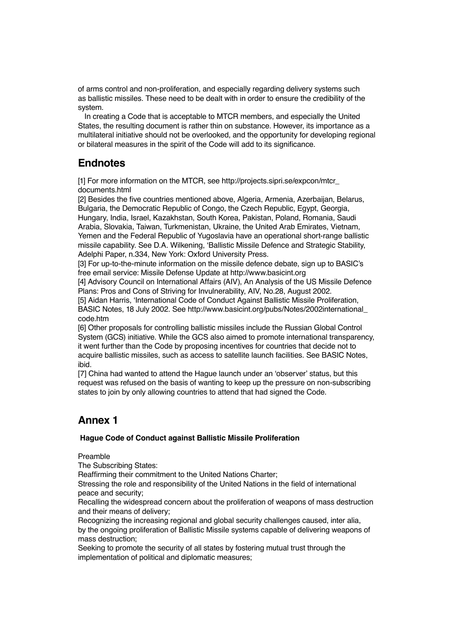of arms control and non-proliferation, and especially regarding delivery systems such as ballistic missiles. These need to be dealt with in order to ensure the credibility of the system.

In creating a Code that is acceptable to MTCR members, and especially the United States, the resulting document is rather thin on substance. However, its importance as a multilateral initiative should not be overlooked, and the opportunity for developing regional or bilateral measures in the spirit of the Code will add to its significance.

# **Endnotes**

[1] For more information on the MTCR, see http://projects.sipri.se/expcon/mtcr documents.html

[2] Besides the five countries mentioned above, Algeria, Armenia, Azerbaijan, Belarus, Bulgaria, the Democratic Republic of Congo, the Czech Republic, Egypt, Georgia, Hungary, India, Israel, Kazakhstan, South Korea, Pakistan, Poland, Romania, Saudi Arabia, Slovakia, Taiwan, Turkmenistan, Ukraine, the United Arab Emirates, Vietnam, Yemen and the Federal Republic of Yugoslavia have an operational short-range ballistic missile capability. See D.A. Wilkening, 'Ballistic Missile Defence and Strategic Stability, Adelphi Paper, n.334, New York: Oxford University Press.

[3] For up-to-the-minute information on the missile defence debate, sign up to BASIC's free email service: Missile Defense Update at http://www.basicint.org

[4] Advisory Council on International Affairs (AIV), An Analysis of the US Missile Defence Plans: Pros and Cons of Striving for Invulnerability, AIV, No.28, August 2002.

[5] Aidan Harris, 'International Code of Conduct Against Ballistic Missile Proliferation, BASIC Notes, 18 July 2002. See http://www.basicint.org/pubs/Notes/2002international\_ code.htm

[6] Other proposals for controlling ballistic missiles include the Russian Global Control System (GCS) initiative. While the GCS also aimed to promote international transparency, it went further than the Code by proposing incentives for countries that decide not to acquire ballistic missiles, such as access to satellite launch facilities. See BASIC Notes, ibid.

[7] China had wanted to attend the Hague launch under an 'observer' status, but this request was refused on the basis of wanting to keep up the pressure on non-subscribing states to join by only allowing countries to attend that had signed the Code.

# **Annex 1**

#### **Hague Code of Conduct against Ballistic Missile Proliferation**

Preamble

The Subscribing States:

Reaffirming their commitment to the United Nations Charter;

Stressing the role and responsibility of the United Nations in the field of international peace and security;

Recalling the widespread concern about the proliferation of weapons of mass destruction and their means of delivery;

Recognizing the increasing regional and global security challenges caused, inter alia, by the ongoing proliferation of Ballistic Missile systems capable of delivering weapons of mass destruction;

Seeking to promote the security of all states by fostering mutual trust through the implementation of political and diplomatic measures;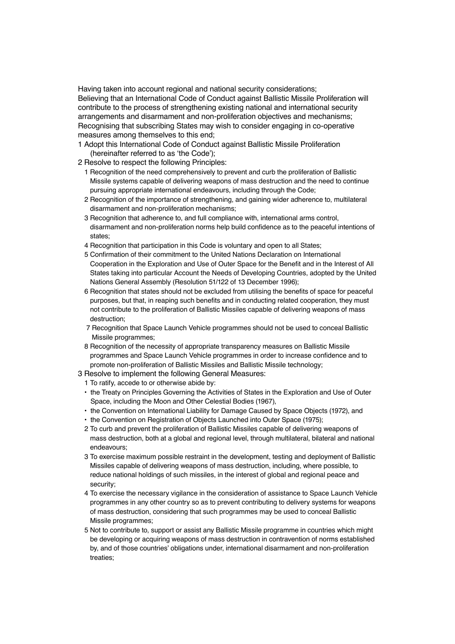Having taken into account regional and national security considerations; Believing that an International Code of Conduct against Ballistic Missile Proliferation will contribute to the process of strengthening existing national and international security arrangements and disarmament and non-proliferation objectives and mechanisms; Recognising that subscribing States may wish to consider engaging in co-operative measures among themselves to this end;

- 1 Adopt this International Code of Conduct against Ballistic Missile Proliferation (hereinafter referred to as 'the Code');
- 2 Resolve to respect the following Principles:
	- 1 Recognition of the need comprehensively to prevent and curb the proliferation of Ballistic Missile systems capable of delivering weapons of mass destruction and the need to continue pursuing appropriate international endeavours, including through the Code;
	- 2 Recognition of the importance of strengthening, and gaining wider adherence to, multilateral disarmament and non-proliferation mechanisms;
	- 3 Recognition that adherence to, and full compliance with, international arms control, disarmament and non-proliferation norms help build confidence as to the peaceful intentions of states;
	- 4 Recognition that participation in this Code is voluntary and open to all States;
	- 5 Confirmation of their commitment to the United Nations Declaration on International Cooperation in the Exploration and Use of Outer Space for the Benefit and in the Interest of All States taking into particular Account the Needs of Developing Countries, adopted by the United Nations General Assembly (Resolution 51/122 of 13 December 1996);
	- 6 Recognition that states should not be excluded from utilising the benefits of space for peaceful purposes, but that, in reaping such benefits and in conducting related cooperation, they must not contribute to the proliferation of Ballistic Missiles capable of delivering weapons of mass destruction;
	- 7 Recognition that Space Launch Vehicle programmes should not be used to conceal Ballistic Missile programmes;
	- 8 Recognition of the necessity of appropriate transparency measures on Ballistic Missile programmes and Space Launch Vehicle programmes in order to increase confidence and to promote non-proliferation of Ballistic Missiles and Ballistic Missile technology;
- 3 Resolve to implement the following General Measures:
- 1 To ratify, accede to or otherwise abide by:
- the Treaty on Principles Governing the Activities of States in the Exploration and Use of Outer Space, including the Moon and Other Celestial Bodies (1967),
- the Convention on International Liability for Damage Caused by Space Objects (1972), and
- the Convention on Registration of Objects Launched into Outer Space (1975);
- 2 To curb and prevent the proliferation of Ballistic Missiles capable of delivering weapons of mass destruction, both at a global and regional level, through multilateral, bilateral and national endeavours;
- 3 To exercise maximum possible restraint in the development, testing and deployment of Ballistic Missiles capable of delivering weapons of mass destruction, including, where possible, to reduce national holdings of such missiles, in the interest of global and regional peace and security;
- 4 To exercise the necessary vigilance in the consideration of assistance to Space Launch Vehicle programmes in any other country so as to prevent contributing to delivery systems for weapons of mass destruction, considering that such programmes may be used to conceal Ballistic Missile programmes;
- 5 Not to contribute to, support or assist any Ballistic Missile programme in countries which might be developing or acquiring weapons of mass destruction in contravention of norms established by, and of those countries' obligations under, international disarmament and non-proliferation treaties;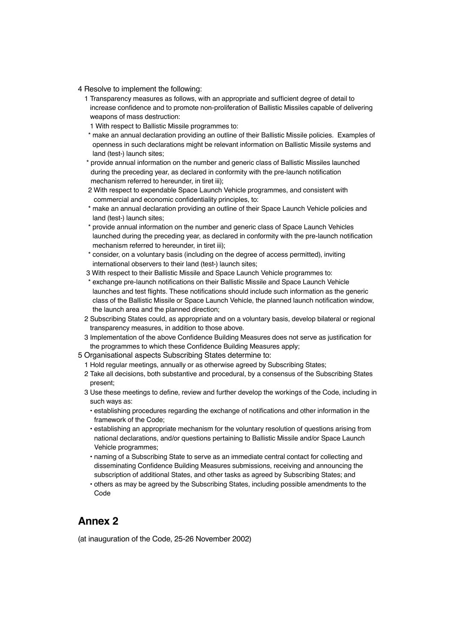- 4 Resolve to implement the following:
	- 1 Transparency measures as follows, with an appropriate and sufficient degree of detail to increase confidence and to promote non-proliferation of Ballistic Missiles capable of delivering weapons of mass destruction:
	- 1 With respect to Ballistic Missile programmes to:
	- \* make an annual declaration providing an outline of their Ballistic Missile policies. Examples of openness in such declarations might be relevant information on Ballistic Missile systems and land (test-) launch sites;
	- \* provide annual information on the number and generic class of Ballistic Missiles launched during the preceding year, as declared in conformity with the pre-launch notification mechanism referred to hereunder, in tiret iii);
	- 2 With respect to expendable Space Launch Vehicle programmes, and consistent with commercial and economic confidentiality principles, to:
	- \* make an annual declaration providing an outline of their Space Launch Vehicle policies and land (test-) launch sites;
	- \* provide annual information on the number and generic class of Space Launch Vehicles launched during the preceding year, as declared in conformity with the pre-launch notification mechanism referred to hereunder, in tiret iii);
	- \* consider, on a voluntary basis (including on the degree of access permitted), inviting international observers to their land (test-) launch sites;
	- 3 With respect to their Ballistic Missile and Space Launch Vehicle programmes to:
	- \* exchange pre-launch notifications on their Ballistic Missile and Space Launch Vehicle launches and test flights. These notifications should include such information as the generic class of the Ballistic Missile or Space Launch Vehicle, the planned launch notification window, the launch area and the planned direction;
	- 2 Subscribing States could, as appropriate and on a voluntary basis, develop bilateral or regional transparency measures, in addition to those above.
	- 3 Implementation of the above Confidence Building Measures does not serve as justification for the programmes to which these Confidence Building Measures apply;
- 5 Organisational aspects Subscribing States determine to:
	- 1 Hold regular meetings, annually or as otherwise agreed by Subscribing States;
	- 2 Take all decisions, both substantive and procedural, by a consensus of the Subscribing States present;
	- 3 Use these meetings to define, review and further develop the workings of the Code, including in such ways as:
		- establishing procedures regarding the exchange of notifications and other information in the framework of the Code;
		- establishing an appropriate mechanism for the voluntary resolution of questions arising from national declarations, and/or questions pertaining to Ballistic Missile and/or Space Launch Vehicle programmes;
		- naming of a Subscribing State to serve as an immediate central contact for collecting and disseminating Confidence Building Measures submissions, receiving and announcing the subscription of additional States, and other tasks as agreed by Subscribing States; and
		- others as may be agreed by the Subscribing States, including possible amendments to the Code

#### **Annex 2**

(at inauguration of the Code, 25-26 November 2002)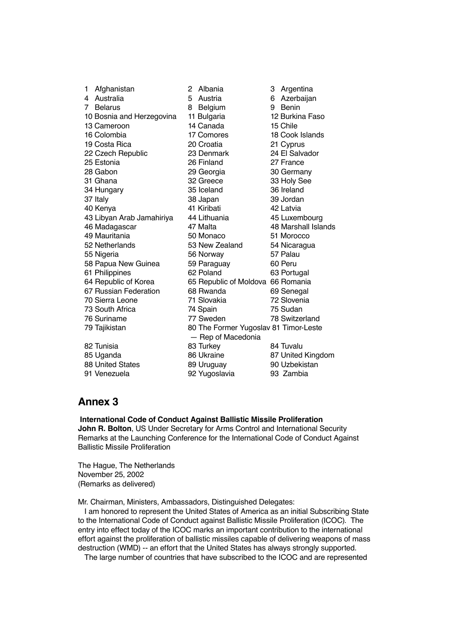| 1           | Afghanistan               | $\overline{c}$ | Albania                               | 3  | Argentina           |  |
|-------------|---------------------------|----------------|---------------------------------------|----|---------------------|--|
| 4           | Australia                 | 5              | Austria                               | 6. | Azerbaijan          |  |
| $7^{\circ}$ | <b>Belarus</b>            | 8              | Belgium                               | 9  | Benin               |  |
|             | 10 Bosnia and Herzegovina |                | 11 Bulgaria                           |    | 12 Burkina Faso     |  |
|             | 13 Cameroon               |                | 14 Canada                             |    | 15 Chile            |  |
|             | 16 Colombia               |                | 17 Comores                            |    | 18 Cook Islands     |  |
|             | 19 Costa Rica             |                | 20 Croatia                            |    | 21 Cyprus           |  |
|             | 22 Czech Republic         |                | 23 Denmark                            |    | 24 El Salvador      |  |
|             | 25 Estonia                |                | 26 Finland                            |    | 27 France           |  |
|             | 28 Gabon                  |                | 29 Georgia                            |    | 30 Germany          |  |
|             | 31 Ghana                  |                | 32 Greece                             |    | 33 Holy See         |  |
|             | 34 Hungary                |                | 35 Iceland                            |    | 36 Ireland          |  |
|             | 37 Italy                  |                | 38 Japan                              |    | 39 Jordan           |  |
|             | 40 Kenya                  |                | 41 Kiribati                           |    | 42 Latvia           |  |
|             | 43 Libyan Arab Jamahiriya |                | 44 Lithuania                          |    | 45 Luxembourg       |  |
|             | 46 Madagascar             |                | 47 Malta                              |    | 48 Marshall Islands |  |
|             | 49 Mauritania             |                | 50 Monaco                             |    | 51 Morocco          |  |
|             | 52 Netherlands            |                | 53 New Zealand                        |    | 54 Nicaragua        |  |
|             | 55 Nigeria                |                | 56 Norway                             |    | 57 Palau            |  |
|             | 58 Papua New Guinea       |                | 59 Paraguay                           |    | 60 Peru             |  |
|             | 61 Philippines            |                | 62 Poland                             |    | 63 Portugal         |  |
|             | 64 Republic of Korea      |                | 65 Republic of Moldova 66 Romania     |    |                     |  |
|             | 67 Russian Federation     |                | 68 Rwanda                             |    | 69 Senegal          |  |
|             | 70 Sierra Leone           |                | 71 Slovakia                           |    | 72 Slovenia         |  |
|             | 73 South Africa           |                | 74 Spain                              |    | 75 Sudan            |  |
|             | 76 Suriname               |                | 77 Sweden                             |    | 78 Switzerland      |  |
|             | 79 Tajikistan             |                | 80 The Former Yugoslav 81 Timor-Leste |    |                     |  |
|             | - Rep of Macedonia        |                |                                       |    |                     |  |
|             | 82 Tunisia                |                | 83 Turkey                             |    | 84 Tuvalu           |  |
|             | 85 Uganda                 |                | 86 Ukraine                            |    | 87 United Kingdom   |  |
|             | <b>88 United States</b>   |                | 89 Uruguay                            |    | 90 Uzbekistan       |  |
|             | 91 Venezuela              |                | 92 Yugoslavia                         |    | 93 Zambia           |  |
|             |                           |                |                                       |    |                     |  |

## **Annex 3**

**International Code of Conduct Against Ballistic Missile Proliferation John R. Bolton**, US Under Secretary for Arms Control and International Security Remarks at the Launching Conference for the International Code of Conduct Against Ballistic Missile Proliferation

The Hague, The Netherlands November 25, 2002 (Remarks as delivered)

Mr. Chairman, Ministers, Ambassadors, Distinguished Delegates:

I am honored to represent the United States of America as an initial Subscribing State to the International Code of Conduct against Ballistic Missile Proliferation (ICOC). The entry into effect today of the ICOC marks an important contribution to the international effort against the proliferation of ballistic missiles capable of delivering weapons of mass destruction (WMD) -- an effort that the United States has always strongly supported.

The large number of countries that have subscribed to the ICOC and are represented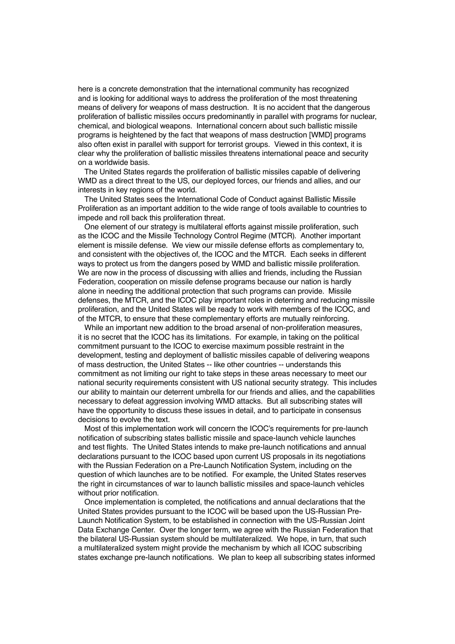here is a concrete demonstration that the international community has recognized and is looking for additional ways to address the proliferation of the most threatening means of delivery for weapons of mass destruction. It is no accident that the dangerous proliferation of ballistic missiles occurs predominantly in parallel with programs for nuclear, chemical, and biological weapons. International concern about such ballistic missile programs is heightened by the fact that weapons of mass destruction [WMD] programs also often exist in parallel with support for terrorist groups. Viewed in this context, it is clear why the proliferation of ballistic missiles threatens international peace and security on a worldwide basis.

The United States regards the proliferation of ballistic missiles capable of delivering WMD as a direct threat to the US, our deployed forces, our friends and allies, and our interests in key regions of the world.

The United States sees the International Code of Conduct against Ballistic Missile Proliferation as an important addition to the wide range of tools available to countries to impede and roll back this proliferation threat.

One element of our strategy is multilateral efforts against missile proliferation, such as the ICOC and the Missile Technology Control Regime (MTCR). Another important element is missile defense. We view our missile defense efforts as complementary to, and consistent with the objectives of, the ICOC and the MTCR. Each seeks in different ways to protect us from the dangers posed by WMD and ballistic missile proliferation. We are now in the process of discussing with allies and friends, including the Russian Federation, cooperation on missile defense programs because our nation is hardly alone in needing the additional protection that such programs can provide. Missile defenses, the MTCR, and the ICOC play important roles in deterring and reducing missile proliferation, and the United States will be ready to work with members of the ICOC, and of the MTCR, to ensure that these complementary efforts are mutually reinforcing.

While an important new addition to the broad arsenal of non-proliferation measures, it is no secret that the ICOC has its limitations. For example, in taking on the political commitment pursuant to the ICOC to exercise maximum possible restraint in the development, testing and deployment of ballistic missiles capable of delivering weapons of mass destruction, the United States -- like other countries -- understands this commitment as not limiting our right to take steps in these areas necessary to meet our national security requirements consistent with US national security strategy. This includes our ability to maintain our deterrent umbrella for our friends and allies, and the capabilities necessary to defeat aggression involving WMD attacks. But all subscribing states will have the opportunity to discuss these issues in detail, and to participate in consensus decisions to evolve the text.

Most of this implementation work will concern the ICOC's requirements for pre-launch notification of subscribing states ballistic missile and space-launch vehicle launches and test flights. The United States intends to make pre-launch notifications and annual declarations pursuant to the ICOC based upon current US proposals in its negotiations with the Russian Federation on a Pre-Launch Notification System, including on the question of which launches are to be notified. For example, the United States reserves the right in circumstances of war to launch ballistic missiles and space-launch vehicles without prior notification.

Once implementation is completed, the notifications and annual declarations that the United States provides pursuant to the ICOC will be based upon the US-Russian Pre-Launch Notification System, to be established in connection with the US-Russian Joint Data Exchange Center. Over the longer term, we agree with the Russian Federation that the bilateral US-Russian system should be multilateralized. We hope, in turn, that such a multilateralized system might provide the mechanism by which all ICOC subscribing states exchange pre-launch notifications. We plan to keep all subscribing states informed